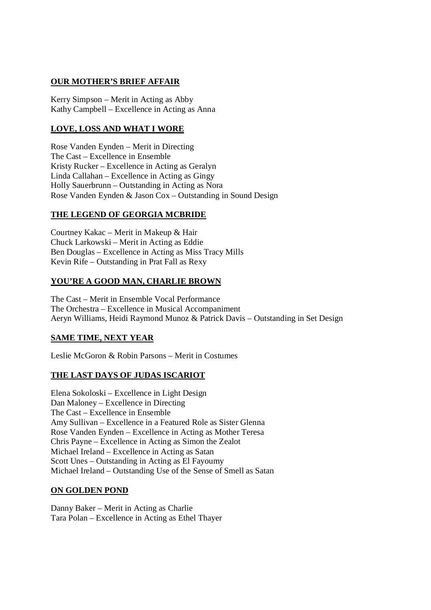## **OUR MOTHER'S BRIEF AFFAIR**

Kerry Simpson – Merit in Acting as Abby Kathy Campbell – Excellence in Acting as Anna

# **LOVE, LOSS AND WHAT I WORE**

Rose Vanden Eynden – Merit in Directing The Cast – Excellence in Ensemble Kristy Rucker – Excellence in Acting as Geralyn Linda Callahan – Excellence in Acting as Gingy Holly Sauerbrunn – Outstanding in Acting as Nora Rose Vanden Eynden & Jason Cox – Outstanding in Sound Design

## **THE LEGEND OF GEORGIA MCBRIDE**

Courtney Kakac – Merit in Makeup & Hair Chuck Larkowski – Merit in Acting as Eddie Ben Douglas – Excellence in Acting as Miss Tracy Mills Kevin Rife – Outstanding in Prat Fall as Rexy

# **YOU'RE A GOOD MAN, CHARLIE BROWN**

The Cast – Merit in Ensemble Vocal Performance The Orchestra – Excellence in Musical Accompaniment Aeryn Williams, Heidi Raymond Munoz & Patrick Davis – Outstanding in Set Design

# **SAME TIME, NEXT YEAR**

Leslie McGoron & Robin Parsons – Merit in Costumes

## **THE LAST DAYS OF JUDAS ISCARIOT**

Elena Sokoloski – Excellence in Light Design Dan Maloney – Excellence in Directing The Cast – Excellence in Ensemble Amy Sullivan – Excellence in a Featured Role as Sister Glenna Rose Vanden Eynden – Excellence in Acting as Mother Teresa Chris Payne – Excellence in Acting as Simon the Zealot Michael Ireland – Excellence in Acting as Satan Scott Unes – Outstanding in Acting as El Fayoumy Michael Ireland – Outstanding Use of the Sense of Smell as Satan

## **ON GOLDEN POND**

Danny Baker – Merit in Acting as Charlie Tara Polan – Excellence in Acting as Ethel Thayer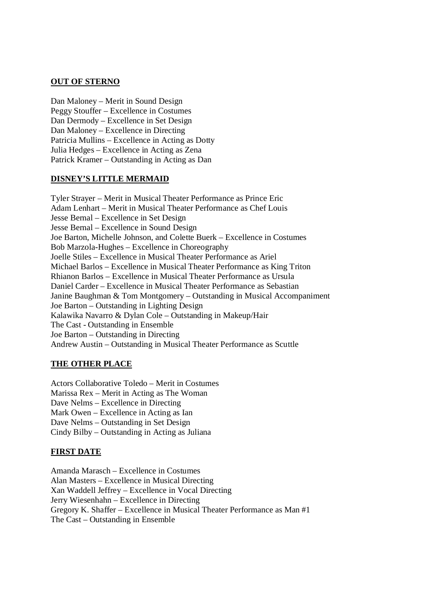### **OUT OF STERNO**

Dan Maloney – Merit in Sound Design Peggy Stouffer – Excellence in Costumes Dan Dermody – Excellence in Set Design Dan Maloney – Excellence in Directing Patricia Mullins – Excellence in Acting as Dotty Julia Hedges – Excellence in Acting as Zena Patrick Kramer – Outstanding in Acting as Dan

#### **DISNEY'S LITTLE MERMAID**

Tyler Strayer – Merit in Musical Theater Performance as Prince Eric Adam Lenhart – Merit in Musical Theater Performance as Chef Louis Jesse Bernal – Excellence in Set Design Jesse Bernal – Excellence in Sound Design Joe Barton, Michelle Johnson, and Colette Buerk – Excellence in Costumes Bob Marzola-Hughes – Excellence in Choreography Joelle Stiles – Excellence in Musical Theater Performance as Ariel Michael Barlos – Excellence in Musical Theater Performance as King Triton Rhianon Barlos – Excellence in Musical Theater Performance as Ursula Daniel Carder – Excellence in Musical Theater Performance as Sebastian Janine Baughman & Tom Montgomery – Outstanding in Musical Accompaniment Joe Barton – Outstanding in Lighting Design Kalawika Navarro & Dylan Cole – Outstanding in Makeup/Hair The Cast - Outstanding in Ensemble Joe Barton – Outstanding in Directing Andrew Austin – Outstanding in Musical Theater Performance as Scuttle

## **THE OTHER PLACE**

Actors Collaborative Toledo – Merit in Costumes Marissa Rex – Merit in Acting as The Woman Dave Nelms – Excellence in Directing Mark Owen – Excellence in Acting as Ian Dave Nelms – Outstanding in Set Design Cindy Bilby – Outstanding in Acting as Juliana

## **FIRST DATE**

Amanda Marasch – Excellence in Costumes Alan Masters – Excellence in Musical Directing Xan Waddell Jeffrey – Excellence in Vocal Directing Jerry Wiesenhahn – Excellence in Directing Gregory K. Shaffer – Excellence in Musical Theater Performance as Man #1 The Cast – Outstanding in Ensemble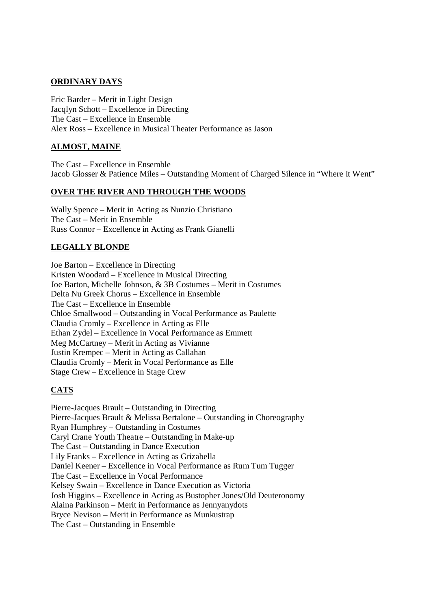### **ORDINARY DAYS**

Eric Barder – Merit in Light Design Jacqlyn Schott – Excellence in Directing The Cast – Excellence in Ensemble Alex Ross – Excellence in Musical Theater Performance as Jason

### **ALMOST, MAINE**

The Cast – Excellence in Ensemble Jacob Glosser & Patience Miles – Outstanding Moment of Charged Silence in "Where It Went"

#### **OVER THE RIVER AND THROUGH THE WOODS**

Wally Spence – Merit in Acting as Nunzio Christiano The Cast – Merit in Ensemble Russ Connor – Excellence in Acting as Frank Gianelli

#### **LEGALLY BLONDE**

Joe Barton – Excellence in Directing Kristen Woodard – Excellence in Musical Directing Joe Barton, Michelle Johnson, & 3B Costumes – Merit in Costumes Delta Nu Greek Chorus – Excellence in Ensemble The Cast – Excellence in Ensemble Chloe Smallwood – Outstanding in Vocal Performance as Paulette Claudia Cromly – Excellence in Acting as Elle Ethan Zydel – Excellence in Vocal Performance as Emmett Meg McCartney – Merit in Acting as Vivianne Justin Krempec – Merit in Acting as Callahan Claudia Cromly – Merit in Vocal Performance as Elle Stage Crew – Excellence in Stage Crew

## **CATS**

Pierre-Jacques Brault – Outstanding in Directing Pierre-Jacques Brault & Melissa Bertalone – Outstanding in Choreography Ryan Humphrey – Outstanding in Costumes Caryl Crane Youth Theatre – Outstanding in Make-up The Cast – Outstanding in Dance Execution Lily Franks – Excellence in Acting as Grizabella Daniel Keener – Excellence in Vocal Performance as Rum Tum Tugger The Cast – Excellence in Vocal Performance Kelsey Swain – Excellence in Dance Execution as Victoria Josh Higgins – Excellence in Acting as Bustopher Jones/Old Deuteronomy Alaina Parkinson – Merit in Performance as Jennyanydots Bryce Nevison – Merit in Performance as Munkustrap The Cast – Outstanding in Ensemble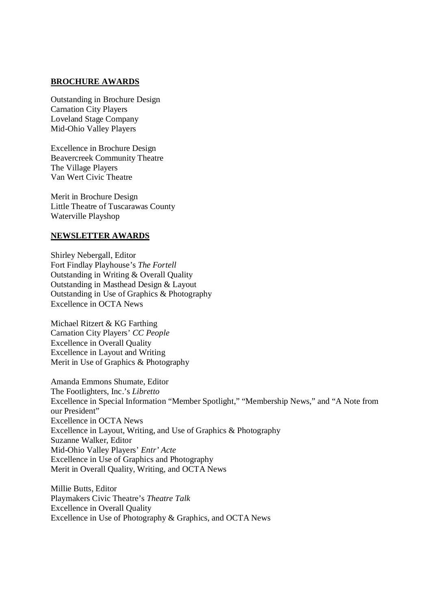#### **BROCHURE AWARDS**

Outstanding in Brochure Design Carnation City Players Loveland Stage Company Mid-Ohio Valley Players

Excellence in Brochure Design Beavercreek Community Theatre The Village Players Van Wert Civic Theatre

Merit in Brochure Design Little Theatre of Tuscarawas County Waterville Playshop

#### **NEWSLETTER AWARDS**

Shirley Nebergall, Editor Fort Findlay Playhouse's *The Fortell* Outstanding in Writing & Overall Quality Outstanding in Masthead Design & Layout Outstanding in Use of Graphics & Photography Excellence in OCTA News

Michael Ritzert & KG Farthing Carnation City Players' *CC People* Excellence in Overall Quality Excellence in Layout and Writing Merit in Use of Graphics & Photography

Amanda Emmons Shumate, Editor The Footlighters, Inc.'s *Libretto* Excellence in Special Information "Member Spotlight," "Membership News," and "A Note from our President" Excellence in OCTA News Excellence in Layout, Writing, and Use of Graphics & Photography Suzanne Walker, Editor Mid-Ohio Valley Players' *Entr' Acte* Excellence in Use of Graphics and Photography Merit in Overall Quality, Writing, and OCTA News

Millie Butts, Editor Playmakers Civic Theatre's *Theatre Talk* Excellence in Overall Quality Excellence in Use of Photography & Graphics, and OCTA News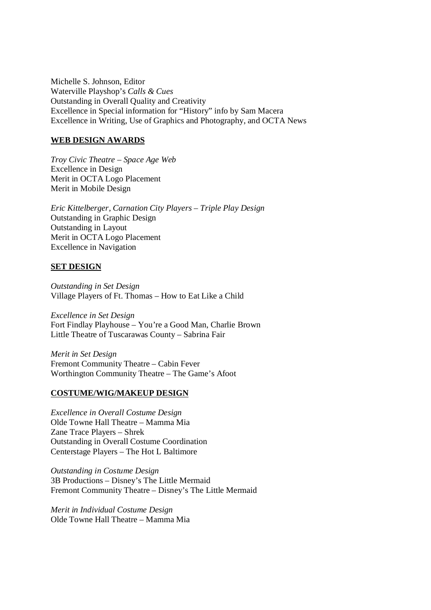Michelle S. Johnson, Editor Waterville Playshop's *Calls & Cues* Outstanding in Overall Quality and Creativity Excellence in Special information for "History" info by Sam Macera Excellence in Writing, Use of Graphics and Photography, and OCTA News

### **WEB DESIGN AWARDS**

*Troy Civic Theatre – Space Age Web* Excellence in Design Merit in OCTA Logo Placement Merit in Mobile Design

*Eric Kittelberger, Carnation City Players – Triple Play Design* Outstanding in Graphic Design Outstanding in Layout Merit in OCTA Logo Placement Excellence in Navigation

## **SET DESIGN**

*Outstanding in Set Design* Village Players of Ft. Thomas – How to Eat Like a Child

*Excellence in Set Design* Fort Findlay Playhouse – You're a Good Man, Charlie Brown Little Theatre of Tuscarawas County – Sabrina Fair

*Merit in Set Design* Fremont Community Theatre – Cabin Fever Worthington Community Theatre – The Game's Afoot

#### **COSTUME/WIG/MAKEUP DESIGN**

*Excellence in Overall Costume Design* Olde Towne Hall Theatre – Mamma Mia Zane Trace Players – Shrek Outstanding in Overall Costume Coordination Centerstage Players – The Hot L Baltimore

*Outstanding in Costume Design* 3B Productions – Disney's The Little Mermaid Fremont Community Theatre – Disney's The Little Mermaid

*Merit in Individual Costume Design* Olde Towne Hall Theatre – Mamma Mia